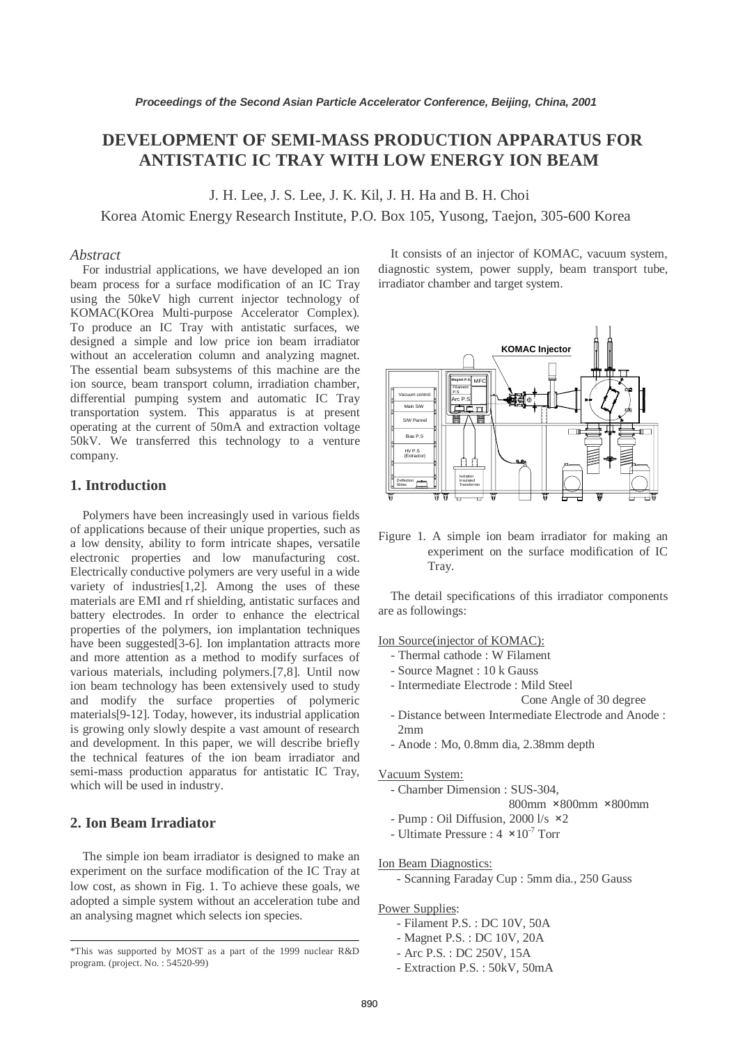# **DEVELOPMENT OF SEMI-MASS PRODUCTION APPARATUS FOR ANTISTATIC IC TRAY WITH LOW ENERGY ION BEAM**

J. H. Lee, J. S. Lee, J. K. Kil, J. H. Ha and B. H. Choi

Korea Atomic Energy Research Institute, P.O. Box 105, Yusong, Taejon, 305-600 Korea

### *Abstract*

For industrial applications, we have developed an ion beam process for a surface modification of an IC Tray using the 50keV high current injector technology of KOMAC(KOrea Multi-purpose Accelerator Complex). To produce an IC Tray with antistatic surfaces, we designed a simple and low price ion beam irradiator without an acceleration column and analyzing magnet. The essential beam subsystems of this machine are the ion source, beam transport column, irradiation chamber, differential pumping system and automatic IC Tray transportation system. This apparatus is at present operating at the current of 50mA and extraction voltage 50kV. We transferred this technology to a venture company.

# **1. Introduction**

Polymers have been increasingly used in various fields of applications because of their unique properties, such as a low density, ability to form intricate shapes, versatile electronic properties and low manufacturing cost. Electrically conductive polymers are very useful in a wide variety of industries[1,2]. Among the uses of these materials are EMI and rf shielding, antistatic surfaces and battery electrodes. In order to enhance the electrical properties of the polymers, ion implantation techniques have been suggested<sup>[3-6]</sup>. Ion implantation attracts more and more attention as a method to modify surfaces of various materials, including polymers.[7,8]. Until now ion beam technology has been extensively used to study and modify the surface properties of polymeric materials[9-12]. Today, however, its industrial application is growing only slowly despite a vast amount of research and development. In this paper, we will describe briefly the technical features of the ion beam irradiator and semi-mass production apparatus for antistatic IC Tray, which will be used in industry.

# **2. Ion Beam Irradiator**

The simple ion beam irradiator is designed to make an experiment on the surface modification of the IC Tray at low cost, as shown in Fig. 1. To achieve these goals, we adopted a simple system without an acceleration tube and an analysing magnet which selects ion species.

It consists of an injector of KOMAC, vacuum system, diagnostic system, power supply, beam transport tube, irradiator chamber and target system.



Figure 1. A simple ion beam irradiator for making an experiment on the surface modification of IC Tray.

The detail specifications of this irradiator components are as followings:

Ion Source(injector of KOMAC):

- Thermal cathode : W Filament
- Source Magnet : 10 k Gauss
- Intermediate Electrode : Mild Steel

Cone Angle of 30 degree

- Distance between Intermediate Electrode and Anode : 2mm
- Anode : Mo, 0.8mm dia, 2.38mm depth

#### Vacuum System:

- Chamber Dimension : SUS-304,

800mm ×800mm ×800mm

- Pump : Oil Diffusion, 2000 l/s ×2
- Ultimate Pressure :  $4 \times 10^{-7}$  Torr

#### Ion Beam Diagnostics:

- Scanning Faraday Cup : 5mm dia., 250 Gauss

Power Supplies:

- Filament P.S. : DC 10V, 50A
- Magnet P.S. : DC 10V, 20A
- Arc P.S. : DC 250V, 15A
- Extraction P.S. : 50kV, 50mA

<sup>\*</sup>This was supported by MOST as a part of the 1999 nuclear R&D program. (project. No. : 54520-99)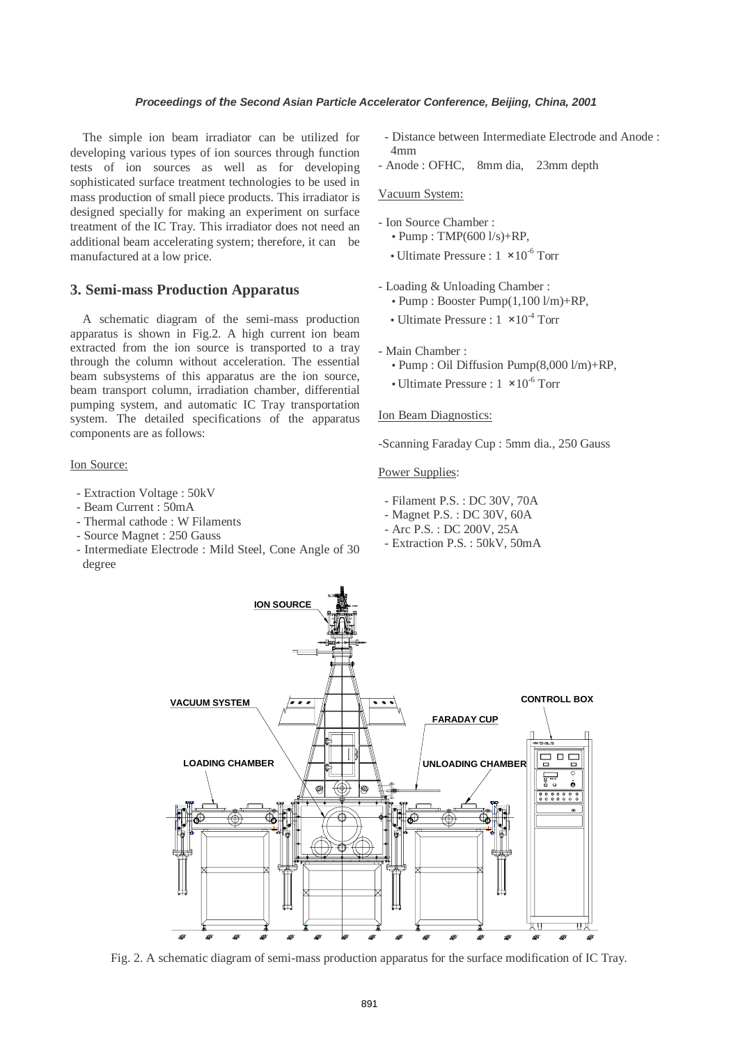The simple ion beam irradiator can be utilized for developing various types of ion sources through function tests of ion sources as well as for developing sophisticated surface treatment technologies to be used in mass production of small piece products. This irradiator is designed specially for making an experiment on surface treatment of the IC Tray. This irradiator does not need an additional beam accelerating system; therefore, it can be manufactured at a low price.

# **3. Semi-mass Production Apparatus**

A schematic diagram of the semi-mass production apparatus is shown in Fig.2. A high current ion beam extracted from the ion source is transported to a tray through the column without acceleration. The essential beam subsystems of this apparatus are the ion source, beam transport column, irradiation chamber, differential pumping system, and automatic IC Tray transportation system. The detailed specifications of the apparatus components are as follows:

#### Ion Source:

- Extraction Voltage : 50kV
- Beam Current : 50mA
- Thermal cathode : W Filaments
- Source Magnet : 250 Gauss
- Intermediate Electrode : Mild Steel, Cone Angle of 30 degree
- Distance between Intermediate Electrode and Anode : 4mm
- Anode : OFHC, 8mm dia, 23mm depth

#### Vacuum System:

- Ion Source Chamber :
	- Pump :  $TMP(6001/s) + RP$ ,
	- Ultimate Pressure :  $1 \times 10^{-6}$  Torr
- Loading & Unloading Chamber :
	- Pump : Booster Pump(1,100 l/m)+RP,
	- Ultimate Pressure :  $1 \times 10^{-4}$  Torr

# - Main Chamber :

- Pump : Oil Diffusion Pump(8,000 l/m)+RP,
- Ultimate Pressure :  $1 \times 10^{-6}$  Torr

#### Ion Beam Diagnostics:

-Scanning Faraday Cup : 5mm dia., 250 Gauss

### Power Supplies:

- Filament P.S. : DC 30V, 70A
- Magnet P.S. : DC 30V, 60A
- Arc P.S. : DC 200V, 25A
- Extraction P.S. : 50kV, 50mA



Fig. 2. A schematic diagram of semi-mass production apparatus for the surface modification of IC Tray.